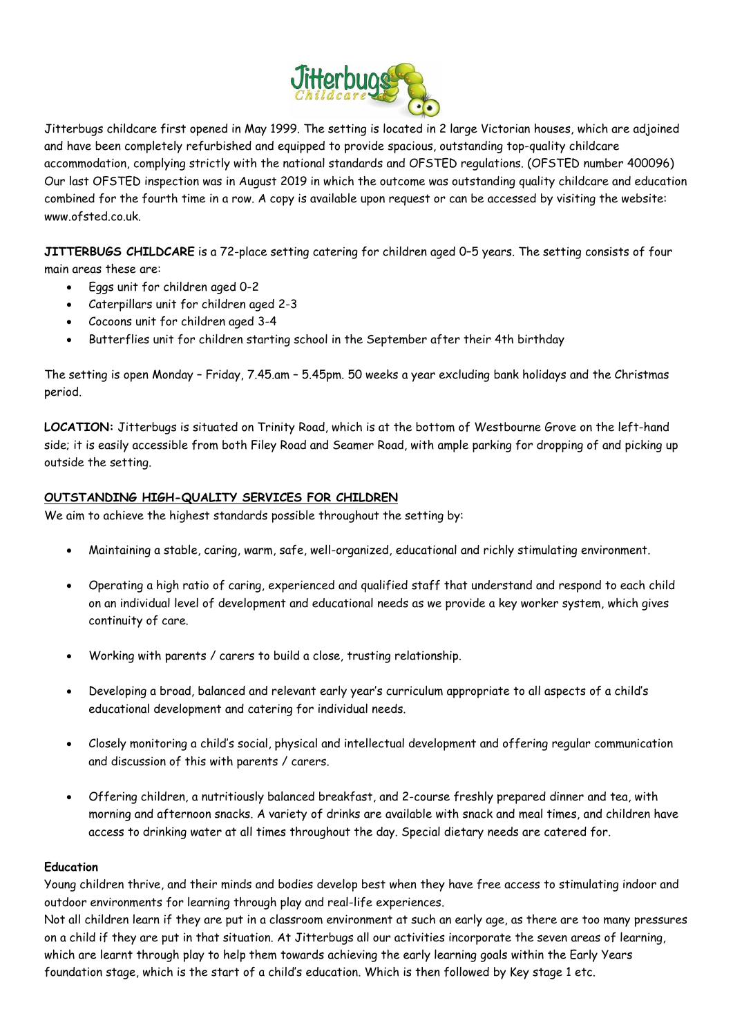

Jitterbugs childcare first opened in May 1999. The setting is located in 2 large Victorian houses, which are adjoined and have been completely refurbished and equipped to provide spacious, outstanding top-quality childcare accommodation, complying strictly with the national standards and OFSTED regulations. (OFSTED number 400096) Our last OFSTED inspection was in August 2019 in which the outcome was outstanding quality childcare and education combined for the fourth time in a row. A copy is available upon request or can be accessed by visiting the website: www.ofsted.co.uk.

**JITTERBUGS CHILDCARE** is a 72-place setting catering for children aged 0–5 years. The setting consists of four main areas these are:

- Eggs unit for children aged 0-2
- Caterpillars unit for children aged 2-3
- Cocoons unit for children aged 3-4
- Butterflies unit for children starting school in the September after their 4th birthday

The setting is open Monday – Friday, 7.45.am – 5.45pm. 50 weeks a year excluding bank holidays and the Christmas period.

**LOCATION:** Jitterbugs is situated on Trinity Road, which is at the bottom of Westbourne Grove on the left-hand side; it is easily accessible from both Filey Road and Seamer Road, with ample parking for dropping of and picking up outside the setting.

# **OUTSTANDING HIGH-QUALITY SERVICES FOR CHILDREN**

We aim to achieve the highest standards possible throughout the setting by:

- Maintaining a stable, caring, warm, safe, well-organized, educational and richly stimulating environment.
- Operating a high ratio of caring, experienced and qualified staff that understand and respond to each child on an individual level of development and educational needs as we provide a key worker system, which gives continuity of care.
- Working with parents / carers to build a close, trusting relationship.
- Developing a broad, balanced and relevant early year's curriculum appropriate to all aspects of a child's educational development and catering for individual needs.
- Closely monitoring a child's social, physical and intellectual development and offering regular communication and discussion of this with parents / carers.
- Offering children, a nutritiously balanced breakfast, and 2-course freshly prepared dinner and tea, with morning and afternoon snacks. A variety of drinks are available with snack and meal times, and children have access to drinking water at all times throughout the day. Special dietary needs are catered for.

### **Education**

Young children thrive, and their minds and bodies develop best when they have free access to stimulating indoor and outdoor environments for learning through play and real-life experiences.

Not all children learn if they are put in a classroom environment at such an early age, as there are too many pressures on a child if they are put in that situation. At Jitterbugs all our activities incorporate the seven areas of learning, which are learnt through play to help them towards achieving the early learning goals within the Early Years foundation stage, which is the start of a child's education. Which is then followed by Key stage 1 etc.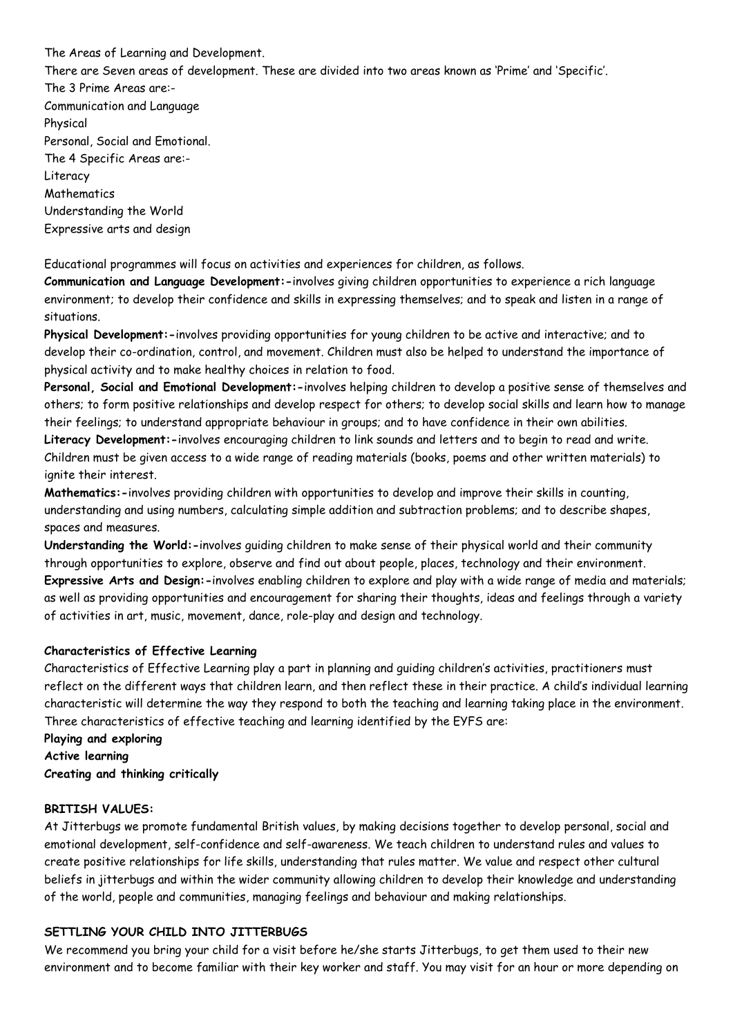The Areas of Learning and Development.

There are Seven areas of development. These are divided into two areas known as 'Prime' and 'Specific'.

The 3 Prime Areas are:- Communication and Language Physical Personal, Social and Emotional. The 4 Specific Areas are:- Literacy **Mathematics** Understanding the World Expressive arts and design

Educational programmes will focus on activities and experiences for children, as follows.

**Communication and Language Development:-**involves giving children opportunities to experience a rich language environment; to develop their confidence and skills in expressing themselves; and to speak and listen in a range of situations.

**Physical Development:-**involves providing opportunities for young children to be active and interactive; and to develop their co-ordination, control, and movement. Children must also be helped to understand the importance of physical activity and to make healthy choices in relation to food.

**Personal, Social and Emotional Development:-**involves helping children to develop a positive sense of themselves and others; to form positive relationships and develop respect for others; to develop social skills and learn how to manage their feelings; to understand appropriate behaviour in groups; and to have confidence in their own abilities.

**Literacy Development:-**involves encouraging children to link sounds and letters and to begin to read and write. Children must be given access to a wide range of reading materials (books, poems and other written materials) to ignite their interest.

**Mathematics:-**involves providing children with opportunities to develop and improve their skills in counting, understanding and using numbers, calculating simple addition and subtraction problems; and to describe shapes, spaces and measures.

**Understanding the World:-**involves guiding children to make sense of their physicalworld and their community through opportunities to explore, observe and find out about people, places, technology and their environment. **Expressive Arts and Design:-**involves enabling children to explore and play with a wide range of media and materials; as well as providing opportunities and encouragement for sharing their thoughts, ideas and feelings through a variety of activities in art, music, movement, dance, role-play and design and technology.

# **Characteristics of Effective Learning**

Characteristics of Effective Learning play a part in planning and guiding children's activities, practitioners must reflect on the different ways that children learn, and then reflect these in their practice.A child's individual learning characteristic will determine the way they respond to both the teaching and learning taking place in the environment. Three characteristics of effective teaching and learning identified by the EYFS are:

**Playing and exploring Active learning Creating and thinking critically**

# **BRITISH VALUES:**

At Jitterbugs we promote fundamental British values, by making decisions together to develop personal, social and emotional development, self-confidence and self-awareness. We teach children to understand rules and values to create positive relationships for life skills, understanding that rules matter. We value and respect other cultural beliefs in jitterbugs and within the wider community allowing children to develop their knowledge and understanding of the world, people and communities, managing feelings and behaviour and making relationships.

# **SETTLING YOUR CHILD INTO JITTERBUGS**

We recommend you bring your child for a visit before he/she starts Jitterbugs, to get them used to their new environment and to become familiar with their key worker and staff. You may visit for an hour or more depending on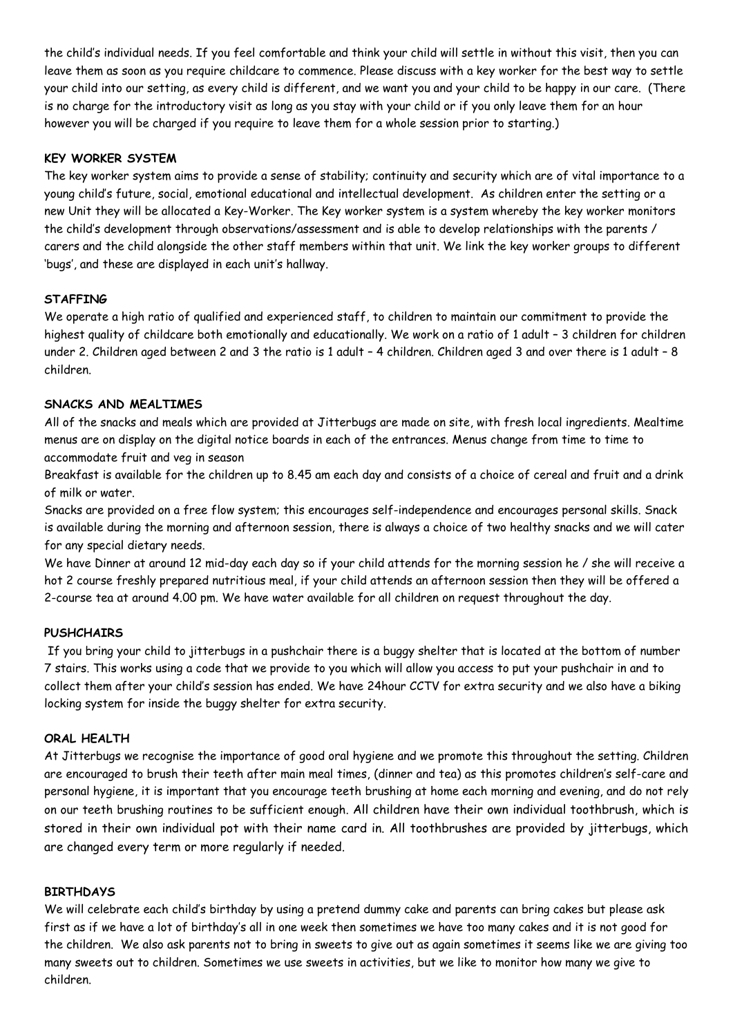the child's individual needs. If you feel comfortable and think your child will settle in without this visit, then you can leave them as soon as you require childcare to commence. Please discuss with a key worker for the best way to settle your child into our setting, as every child is different, and we want you and your child to be happy in our care. (There is no charge for the introductory visit as long as you stay with your child or if you only leave them for an hour however you will be charged if you require to leave them for a whole session prior to starting.)

# **KEY WORKER SYSTEM**

The key worker system aims to provide a sense of stability; continuity and security which are of vital importance to a young child's future, social, emotional educational and intellectual development. As children enter the setting or a new Unit they will be allocated a Key-Worker. The Key worker system is a system whereby the key worker monitors the child's development through observations/assessment and is able to develop relationships with the parents / carers and the child alongside the other staff members within that unit. We link the key worker groups to different 'bugs', and these are displayed in each unit's hallway.

# **STAFFING**

We operate a high ratio of qualified and experienced staff, to children to maintain our commitment to provide the highest quality of childcare both emotionally and educationally. We work on a ratio of 1 adult – 3 children for children under 2. Children aged between 2 and 3 the ratio is 1 adult - 4 children. Children aged 3 and over there is 1 adult - 8 children.

# **SNACKS AND MEALTIMES**

All of the snacks and meals which are provided at Jitterbugs are made on site, with fresh local ingredients. Mealtime menus are on display on the digital notice boards in each of the entrances. Menus change from time to time to accommodate fruit and veg in season

Breakfast is available for the children up to 8.45 am each day and consists of a choice of cereal and fruit and a drink of milk or water.

Snacks are provided on a free flow system; this encourages self-independence and encourages personal skills. Snack is available during the morning and afternoon session, there is always a choice of two healthy snacks and we will cater for any special dietary needs.

We have Dinner at around 12 mid-day each day so if your child attends for the morning session he / she will receive a hot 2 course freshly prepared nutritious meal, if your child attends an afternoon session then they will be offered a 2-course tea at around 4.00 pm. We have water available for all children on request throughout the day.

# **PUSHCHAIRS**

If you bring your child to jitterbugs in a pushchair there is a buggy shelter that is located at the bottom of number 7 stairs. This works using a code that we provide to you which willallow you access to put your pushchair in and to collect them after your child's session has ended.We have 24hour CCTV for extra security and we also have a biking locking system for inside the buggy shelter for extra security.

### **ORAL HEALTH**

At Jitterbugs we recognise the importance of good oral hygiene and we promote this throughout the setting. Children are encouraged to brush their teeth after main meal times, (dinner and tea) as this promotes children's self-care and personal hygiene, it is important that you encourage teeth brushing at home each morning and evening, and do not rely on our teeth brushing routines to be sufficient enough. All children have their own individual toothbrush, which is stored in their own individual pot with their name card in. All toothbrushes are provided by jitterbugs, which are changed every term or more regularly if needed.

### **BIRTHDAYS**

We will celebrate each child's birthday by using a pretend dummy cake and parents can bring cakes but please ask first as if we have a lot of birthday's all in one week then sometimes we have too many cakes and it is not good for the children. We also ask parents not to bring in sweets to give out as again sometimes it seems like we are giving too many sweets out to children. Sometimes we use sweets in activities, but we like to monitor how many we give to children.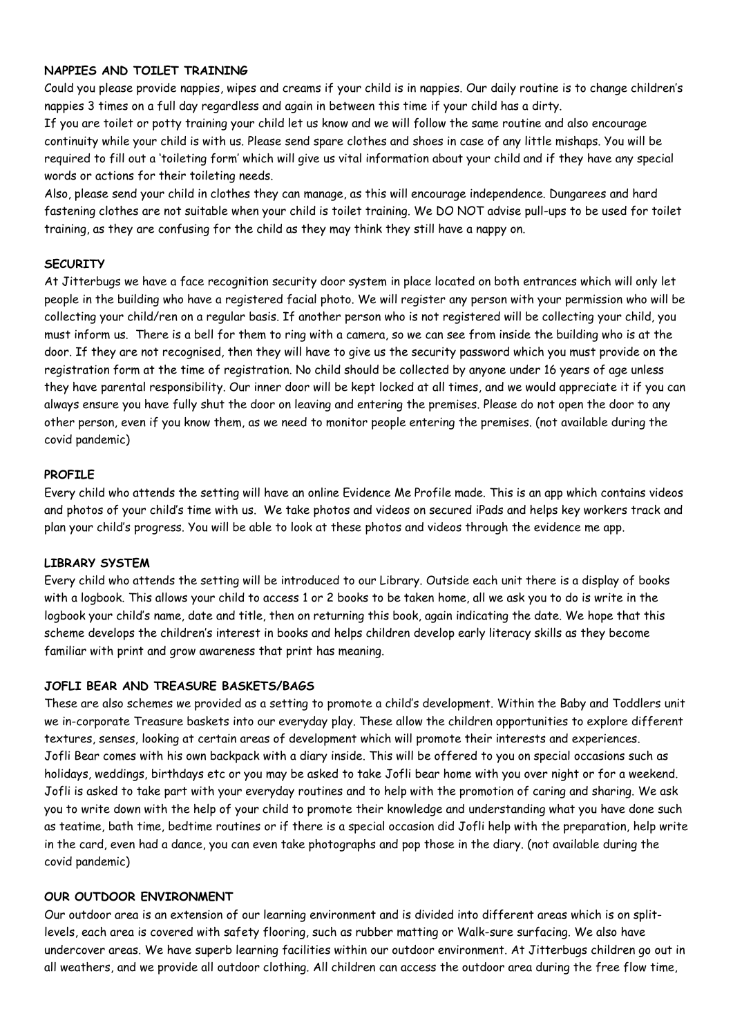### **NAPPIES AND TOILET TRAINING**

Could you please provide nappies, wipes and creams if your child is in nappies. Our daily routine is to change children's nappies 3 times on a fullday regardless and again in between this time if your child has a dirty.

If you are toilet or potty training your child let us know and we will follow the same routine and also encourage continuity while your child is with us. Please send spare clothes and shoes in case of any little mishaps. You will be required to fill out a 'toileting form' which will give us vital information about your child and if they have any special words or actions for their toileting needs.

Also, please send your child in clothes they can manage, as this will encourage independence. Dungarees and hard fastening clothes are not suitable when your child is toilet training. We DO NOT advise pull-ups to be used for toilet training, as they are confusing for the child as they may think they still have a nappy on.

### **SECURITY**

At Jitterbugs we have a face recognition security door system in place located on both entrances which will only let people in the building who have a registered facial photo. We will register any person with your permission who will be collecting your child/ren on a regular basis. If another person who is not registered will be collecting your child, you must inform us. There is a bell for them to ring with a camera, so we can see from inside the building who is at the door. If they are not recognised, then they will have to give us the security password which you must provide on the registration form at the time of registration. No child should be collected by anyone under 16 years of age unless they have parental responsibility. Our inner door will be kept locked at all times, and we would appreciate it if you can always ensure you have fully shut the door on leaving and entering the premises. Please do not open the door to any other person, even if you know them, as we need to monitor people entering the premises. (not available during the covid pandemic)

# **PROFILE**

Every child who attends the setting will have an online Evidence Me Profile made. This is an app which contains videos and photos of your child's time with us. We take photos and videos on secured iPads and helps key workers track and plan your child's progress. You will be able to look atthese photos and videos through the evidence me app.

# **LIBRARY SYSTEM**

Every child who attends the setting will be introduced to our Library. Outside each unit there is a display of books with a logbook. This allows your child to access 1or 2 books to be taken home, all we ask you to do is write in the logbook your child's name, date and title, then on returning this book, again indicating the date. We hope that this scheme develops the children's interest in books and helps children develop early literacy skills as they become familiar with print and grow awareness that print has meaning.

# **JOFLI BEAR AND TREASURE BASKETS/BAGS**

These are also schemes we provided as a setting to promote a child's development. Within the Baby and Toddlers unit we in-corporate Treasure baskets into our everyday play. These allow the children opportunities to explore different textures, senses, looking at certain areas of development which will promote their interests and experiences. Jofli Bear comes with his own backpack with a diary inside. This will be offered to you on special occasions such as holidays, weddings, birthdays etc or you may be asked to take Jofli bear home with you over night or for a weekend. Jofli is asked to take part with your everyday routines and to help with the promotion of caring and sharing. We ask you to write down with the help of your child to promote their knowledge and understanding what you have done such as teatime, bath time, bedtime routines or if there is a special occasion did Jofli help with the preparation, help write in the card, even had a dance, you can even take photographs and pop those in the diary. (not available during the covid pandemic)

### **OUR OUTDOOR ENVIRONMENT**

Our outdoor area is an extension of our learning environment and is divided into different areas which is on splitlevels, each area is covered with safety flooring, such as rubber matting or Walk-sure surfacing. We also have undercover areas. We have superb learning facilities within our outdoor environment. At Jitterbugs children go out in all weathers, and we provide all outdoor clothing. All children can access the outdoor area during the free flow time,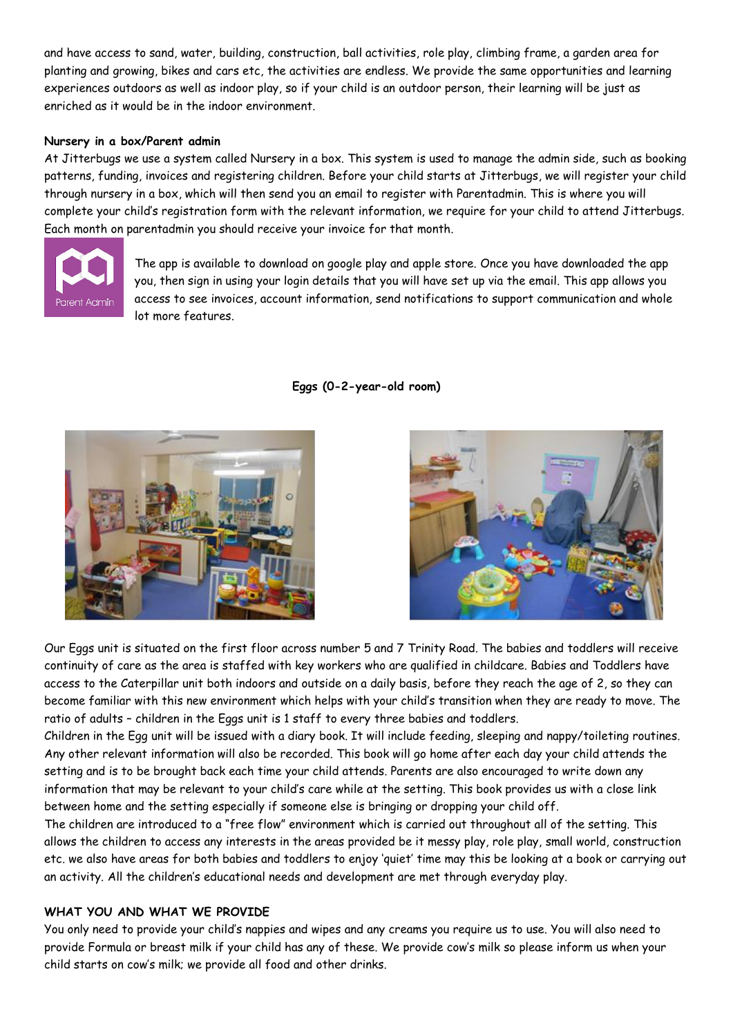and have access to sand,water, building, construction, ball activities, role play, climbing frame, a garden area for planting and growing, bikes and cars etc, the activities are endless. We provide the same opportunities and learning experiences outdoors as well as indoor play, so if your child is an outdoor person, their learning will be just as enriched as it would be in the indoor environment.

#### **Nursery in a box/Parent admin**

At Jitterbugs we use a system called Nursery in a box. This system is used tomanage the admin side, such as booking patterns, funding, invoices and registering children. Before your child starts at Jitterbugs, we will register your child through nursery in a box, which will then send you an email to register with Parentadmin. This is where you will complete your child's registration form with the relevant information, we require for your child to attend Jitterbugs. Each month on parentadmin you should receive your invoice for that month.



The app is available to download on google play and apple store. Once you have downloaded the app you, then sign in using your login details that you will have set up via the email. This app allows you access to see invoices, account information, send notifications to support communication and whole lot more features.



# **Eggs (0-2-year-old room)**



Our Eggs unit is situated on the first floor across number 5 and 7 Trinity Road. The babies and toddlers will receive continuity of care as the area is staffed with key workers who are qualified in childcare. Babies and Toddlers have access to the Caterpillar unit both indoors and outside on a daily basis, before they reach the age of 2, so they can become familiar with this new environment which helps with your child's transition when they are ready to move. The ratio of adults – children in the Eggs unit is 1staff to every three babies and toddlers.

Children in the Egg unit will be issued with a diary book.It will include feeding, sleeping and nappy/toileting routines. Any other relevant information will also be recorded. This book will go home after each day your child attends the setting and is to be brought back each time your child attends. Parents are also encouraged to write down any information that may be relevant to your child's care while at the setting. This book provides us with a close link between home and the setting especially if someone else is bringing or dropping your child off.

The children are introduced to a "free flow" environment which is carried out throughout all of the setting. This allows the children to access any interests in the areas provided be it messy play, role play, small world, construction etc. we also have areas for both babies and toddlers to enjoy 'quiet' time may this be looking at a book or carrying out an activity. All the children's educational needs and development are met through everyday play.

### **WHAT YOU AND WHAT WE PROVIDE**

You only need to provide your child's nappies and wipes and any creams you require us to use. You will also need to provide Formula or breast milk if your child has any of these. We provide cow's milk so please inform us when your child starts on cow's milk; we provide all food and other drinks.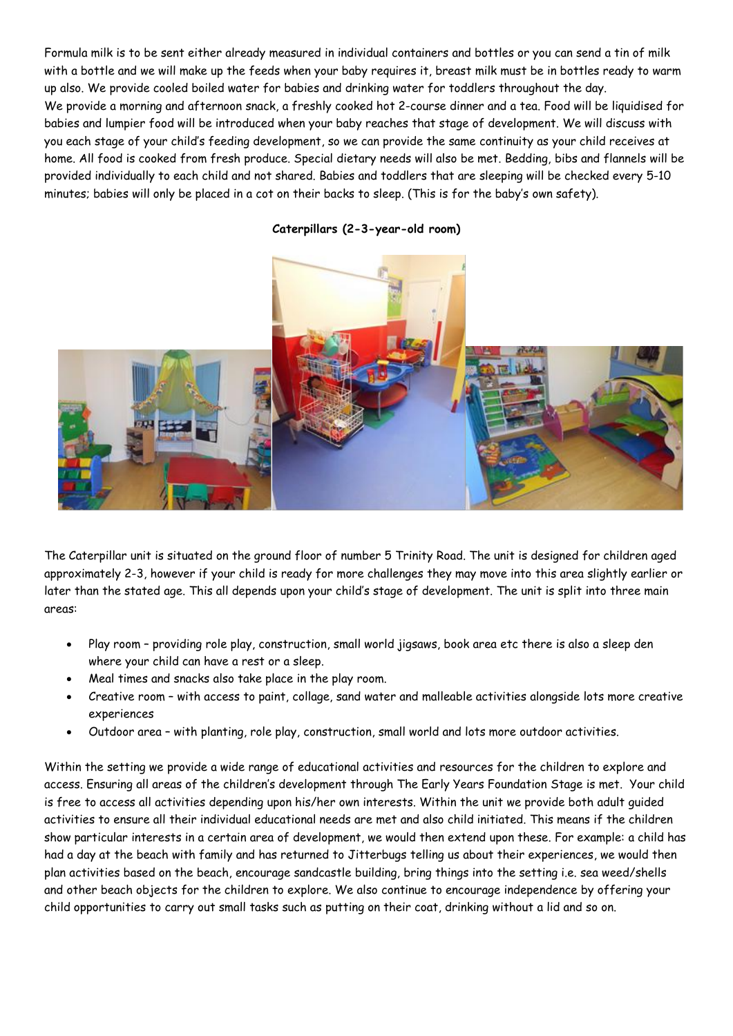Formula milk is to be sent either already measured in individual containers and bottles or you can send a tin of milk with a bottle and we willmake up the feeds when your baby requires it, breast milk must be in bottles ready to warm up also. We provide cooled boiled water for babies and drinking water for toddlers throughout the day. We provide a morning and afternoon snack, a freshly cooked hot 2-course dinner and a tea. Food will be liquidised for babies and lumpier food will be introduced when your baby reaches that stage of development. We will discuss with you each stage of your child's feeding development, so we can provide the same continuity as your child receives at home. All food is cooked from fresh produce. Special dietary needs will also be met. Bedding, bibs and flannels will be provided individually to each child and not shared. Babies and toddlers that are sleeping will be checked every 5-10 minutes; babies will only be placed in a cot on their backs to sleep. (This is for the baby's own safety).

**Caterpillars (2-3-year-old room)**



The Caterpillar unit is situated on the ground floor of number 5 Trinity Road. The unit is designed for children aged approximately 2-3, however if your child is ready for more challenges they may move into this area slightly earlier or later than the stated age. This all depends upon your child's stage of development. The unit is split into three main areas:

- Play room providing role play, construction, small world jigsaws, book area etc there is also a sleep den where your child can have a rest or a sleep.
- Meal times and snacks also take place in the play room.
- Creative room with access to paint, collage, sand water and malleable activities alongside lots more creative experiences
- Outdoor area with planting, role play, construction, small world and lots more outdoor activities.

Within the setting we provide a wide range of educational activities and resources for the children to explore and access. Ensuring all areas of the children's development through The Early Years Foundation Stage is met. Your child is free to access all activities depending upon his/her own interests. Within the unit we provide both adult guided activities to ensure all their individual educational needs are met and also child initiated. This means if the children show particular interests in a certain area of development, we would then extend upon these. For example: a child has had a day at the beach with family and has returned to Jitterbugs telling us about their experiences, we would then plan activities based on the beach, encourage sandcastle building, bring things into the setting i.e. sea weed/shells and other beach objects for the children to explore. We also continue to encourage independence by offering your child opportunities to carry out small tasks such as putting on their coat, drinking without a lid and so on.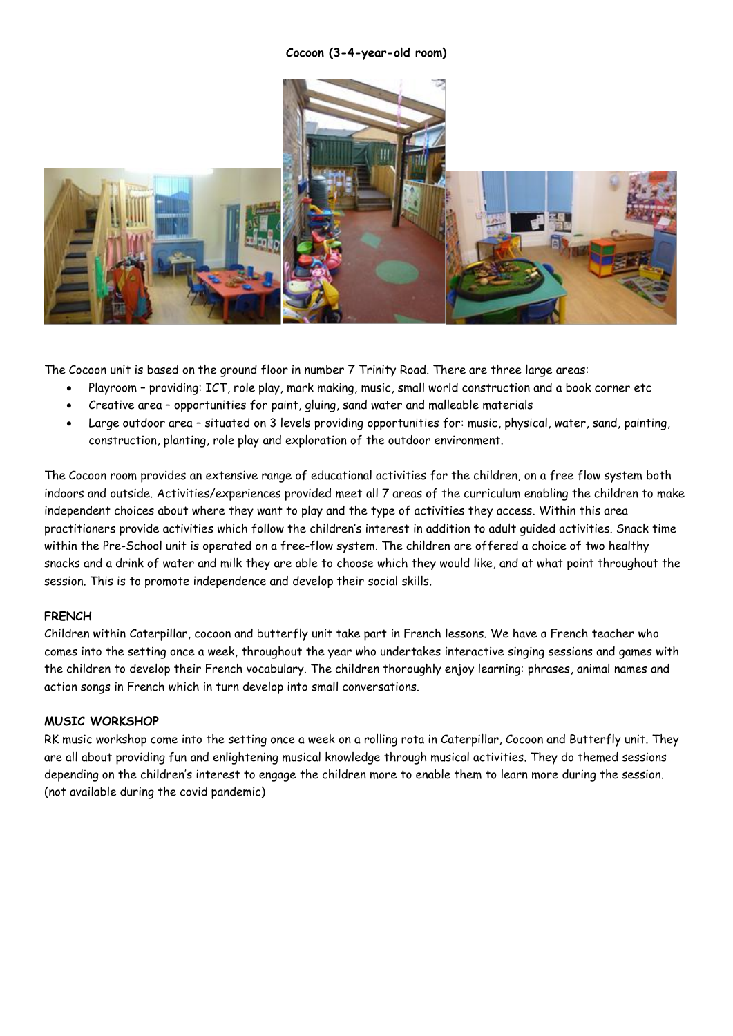### **Cocoon (3-4-year-old room)**



The Cocoon unit is based on the ground floor in number 7 Trinity Road. There are three large areas:

- Playroom providing: ICT, role play, mark making, music, small world construction and a book corner etc
- Creative area opportunities for paint, gluing, sand water and malleable materials
- Large outdoor area situated on 3 levels providing opportunities for: music, physical, water, sand, painting, construction, planting, role play and exploration of the outdoor environment.

The Cocoon room provides an extensive range of educational activities for the children, on a free flow system both indoors and outside. Activities/experiences provided meet all 7 areas of the curriculum enabling the children to make independent choices about where they want to play and the type of activities they access. Within this area practitioners provide activities which follow the children's interest in addition to adult guided activities. Snack time within the Pre-School unit is operated on a free-flow system. The children are offered a choice of two healthy snacks and a drink of water and milk they are able to choose which they would like, and at what point throughout the session. This is to promote independence and develop their social skills.

# **FRENCH**

Children within Caterpillar, cocoon and butterfly unit take part in French lessons. We have a French teacher who comes into the setting once a week, throughout the year who undertakes interactive singing sessions and games with the children to develop their French vocabulary. The children thoroughly enjoy learning: phrases, animal names and action songs in French which in turn develop into small conversations.

# **MUSIC WORKSHOP**

RK music workshop come into the setting once a week on a rolling rota in Caterpillar, Cocoon and Butterfly unit. They are all about providing fun and enlightening musical knowledge through musical activities. They do themed sessions depending on the children's interest to engage the children more to enable them to learn more during the session. (not available during the covid pandemic)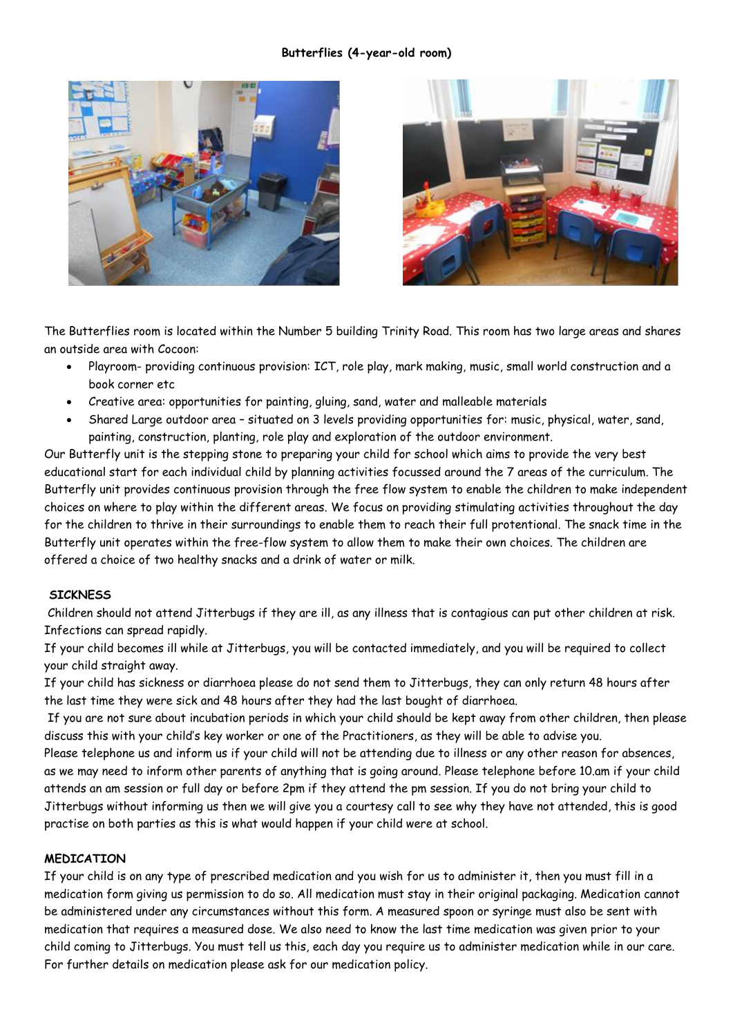# **Butterflies (4-year-old room)**





The Butterflies room is located within the Number 5 building Trinity Road. This room has two large areas and shares an outside area with Cocoon:

- Playroom- providing continuous provision: ICT, role play, mark making, music, small world construction and a book corner etc
- Creative area: opportunities for painting, gluing, sand, water and malleable materials
- Shared Large outdoor area situated on 3 levels providing opportunities for: music, physical, water, sand, painting, construction, planting, role play and exploration of the outdoor environment.

Our Butterfly unit is the stepping stone to preparing your child for school which aims to provide the very best educational start for each individual child by planning activities focussed around the 7 areas of the curriculum. The Butterfly unit provides continuous provision through the free flow system to enable the children to make independent choices on where to play within the different areas. We focus on providing stimulating activities throughout the day for the children to thrive in their surroundings to enable them to reach their full protentional. The snack time in the Butterfly unit operates within the free-flow system to allow them to make their own choices. The children are offered a choice of two healthy snacks and a drink of water or milk.

### **SICKNESS**

Children should not attend Jitterbugs if they are ill, as any illness that is contagious can put other children at risk. Infections can spread rapidly.

If your child becomes ill while at Jitterbugs, you will be contacted immediately, and you will be required to collect your child straight away.

If your child has sickness or diarrhoea please do not send them to Jitterbugs, they can only return 48 hours after the last time they were sick and 48 hours after they had the last bought of diarrhoea.

If you are not sure about incubation periods in which your child should be kept away from other children, then please discuss this with your child's key worker or one of the Practitioners, as they will be able to advise you.

Please telephone us and inform us if your child will not be attending due to illness or any other reason for absences, as we may need to inform other parents of anything that is going around. Please telephone before 10.am if your child attends an am session or full day or before 2pm if they attend the pm session. If you do not bring your child to Jitterbugs without informing us then we will give you a courtesy call to see why they have not attended, this is good practise on both parties as this is what would happen if your child were at school.

# **MEDICATION**

If your child is on any type of prescribed medication and you wish for us to administer it, then you must fill in a medication form giving us permission to do so. All medication must stay in their original packaging. Medication cannot be administered under any circumstances without this form. A measured spoon or syringe must also be sent with medication that requires a measured dose. We also need to know the last time medication was given prior to your child coming to Jitterbugs. You must tell us this, each day you require us to administer medication while in our care. For further details on medication please ask for our medication policy.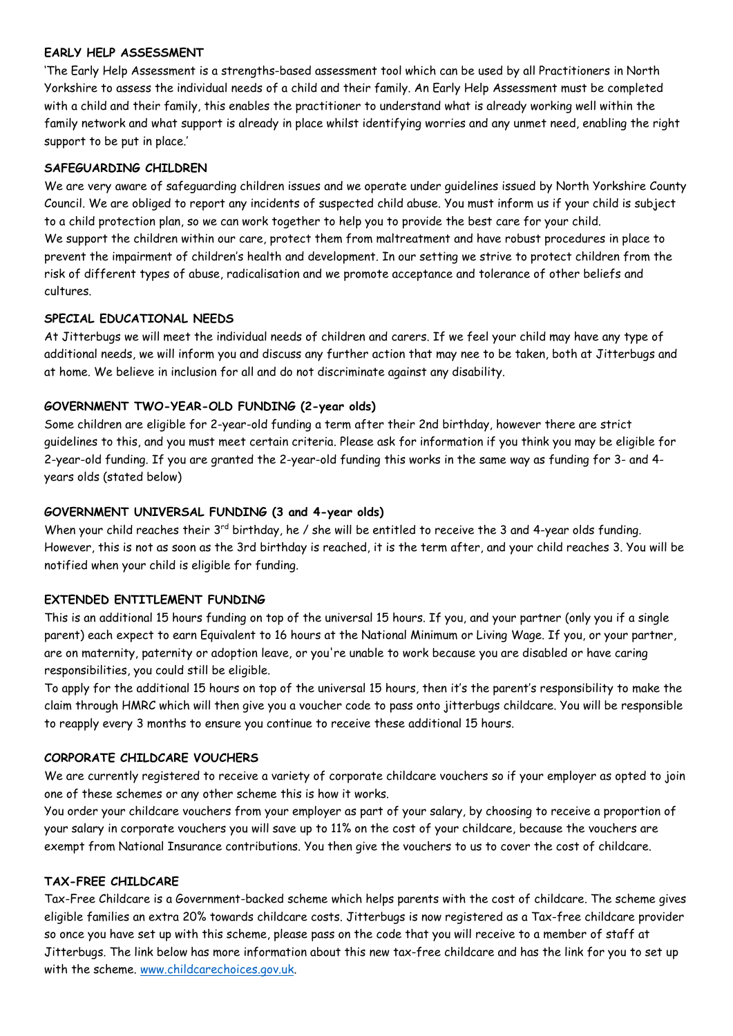#### **EARLY HELP ASSESSMENT**

'The Early Help Assessment is a strengths-based assessment tool which can be used by all Practitioners in North Yorkshire to assess the individual needs of a child and their family. An Early Help Assessment must be completed with a child and their family, this enables the practitioner to understand what is already working well within the family network and what support is already in place whilst identifying worries and any unmet need, enabling the right support to be put in place.'

# **SAFEGUARDING CHILDREN**

We are very aware of safeguarding children issues and we operate under guidelines issued by North Yorkshire County Council. We are obliged to report any incidents of suspected child abuse. You must inform us if your child is subject to a child protection plan, so we can work together to help you to provide the best care for your child. We support the children within our care, protect them from maltreatment and have robust procedures in place to prevent the impairment of children's health and development. In our setting we strive to protect children from the risk of different types of abuse, radicalisation and we promote acceptance and tolerance of other beliefs and cultures.

# **SPECIAL EDUCATIONAL NEEDS**

At Jitterbugs we will meet the individual needs of children and carers. If we feel your child may have any type of additional needs, we will inform you and discuss any further action that may nee to be taken, both at Jitterbugs and at home. We believe in inclusion for all and do not discriminate against any disability.

# **GOVERNMENT TWO-YEAR-OLD FUNDING (2-year olds)**

Some children are eligible for 2-year-old funding a term after their 2nd birthday, however there are strict guidelines to this, and you must meet certain criteria. Please ask for information if you think you may be eligible for 2-year-old funding. If you are granted the 2-year-old funding this works in the same way as funding for 3- and 4 years olds (stated below)

### **GOVERNMENT UNIVERSAL FUNDING (3 and 4-year olds)**

When your child reaches their 3<sup>rd</sup> birthday, he / she will be entitled to receive the 3 and 4-year olds funding. However, this is not as soon as the 3rd birthday is reached, it is the term after, and your child reaches 3. You will be notified when your child is eligible for funding.

### **EXTENDED ENTITLEMENT FUNDING**

This is an additional 15 hours funding on top of the universal 15 hours. If you, and your partner (only you if a single parent) each expect to earn Equivalent to 16 hours at the National Minimum or Living Wage. If you, or your partner, are on maternity, paternity or adoption leave, or you're unable to work because you are disabled or have caring responsibilities, you could still be eligible.

To apply for the additional 15 hours on top of the universal 15 hours, then it's the parent's responsibility to make the claim through HMRC which will then give you a voucher code to pass onto jitterbugs childcare. You will be responsible to reapply every 3 months to ensure you continue to receive these additional 15 hours.

### **CORPORATE CHILDCARE VOUCHERS**

We are currently registered to receive a variety of corporate childcare vouchers so if your employer as opted to join one of these schemes or any other scheme this is how it works.

You order your childcare vouchers from your employer as part of your salary, by choosing to receive a proportion of your salary in corporate vouchers you will save up to 11% on the cost of your childcare, because the vouchers are exempt from National Insurance contributions. You then give the vouchers to us to cover the cost of childcare.

### **TAX-FREE CHILDCARE**

Tax-Free Childcare is a Government-backed scheme which helps parents with the cost of childcare. The scheme gives eligible families an extra 20% towards childcare costs. Jitterbugs is now registered as a Tax-free childcare provider so once you have set up with this scheme, please pass on the code that you will receive to a member of staff at Jitterbugs. The link below has more information about this new tax-free childcare and has the link for you to set up with the scheme. [www.childcarechoices.gov.uk.](http://www.childcarechoices.gov.uk)